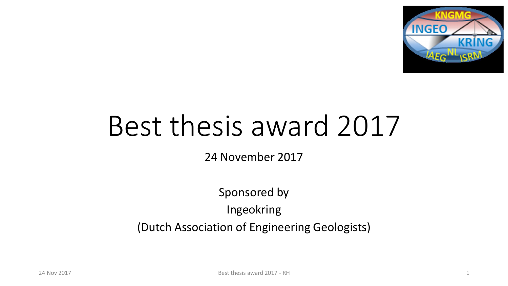

# Best thesis award 2017

24 November 2017

Sponsored by Ingeokring (Dutch Association of Engineering Geologists)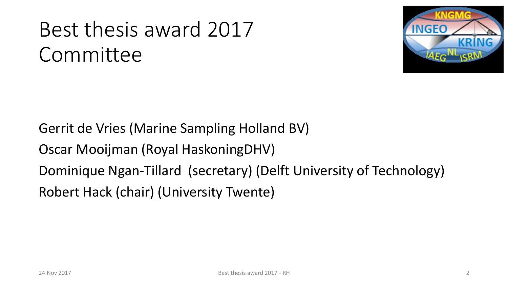# Best thesis award 2017 Committee



Gerrit de Vries (Marine Sampling Holland BV) Oscar Mooijman (Royal HaskoningDHV) Dominique Ngan-Tillard (secretary) (Delft University of Technology) Robert Hack (chair) (University Twente)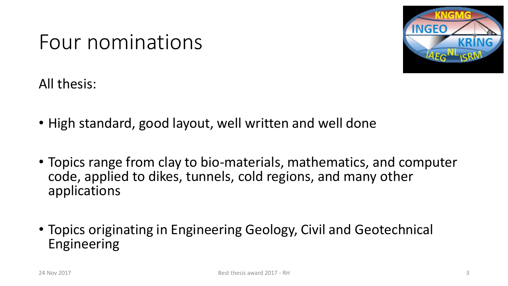

### Four nominations

All thesis:

- High standard, good layout, well written and well done
- Topics range from clay to bio-materials, mathematics, and computer code, applied to dikes, tunnels, cold regions, and many other applications
- Topics originating in Engineering Geology, Civil and Geotechnical Engineering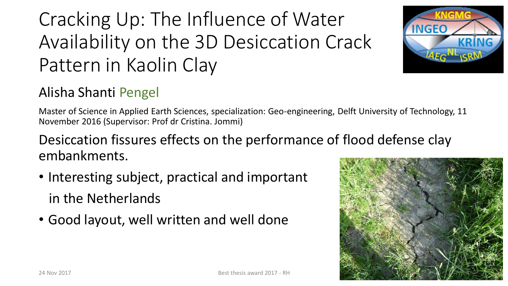## Cracking Up: The Influence of Water Availability on the 3D Desiccation Crack Pattern in Kaolin Clay



#### Alisha Shanti Pengel

Master of Science in Applied Earth Sciences, specialization: Geo-engineering, Delft University of Technology, 11 November 2016 (Supervisor: Prof dr Cristina. Jommi)

#### Desiccation fissures effects on the performance of flood defense clay embankments.

- Interesting subject, practical and important in the Netherlands
- Good layout, well written and well done

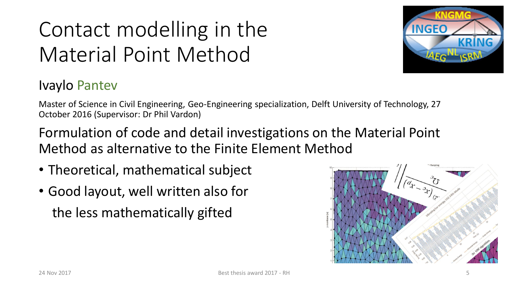# Contact modelling in the Material Point Method



#### Ivaylo Pantev

Master of Science in Civil Engineering, Geo-Engineering specialization, Delft University of Technology, 27 October 2016 (Supervisor: Dr Phil Vardon)

Formulation of code and detail investigations on the Material Point Method as alternative to the Finite Element Method

- Theoretical, mathematical subject
- Good layout, well written also for the less mathematically gifted

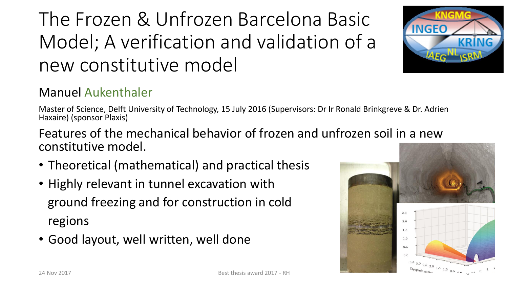### The Frozen & Unfrozen Barcelona Basic Model; A verification and validation of a new constitutive model

#### Manuel Aukenthaler

Master of Science, Delft University of Technology, 15 July 2016 (Supervisors: Dr Ir Ronald Brinkgreve & Dr. Adrien Haxaire) (sponsor Plaxis)

Features of the mechanical behavior of frozen and unfrozen soil in a new constitutive model.

- Theoretical (mathematical) and practical thesis
- Highly relevant in tunnel excavation with ground freezing and for construction in cold regions
- Good layout, well written, well done



**INGEO** 

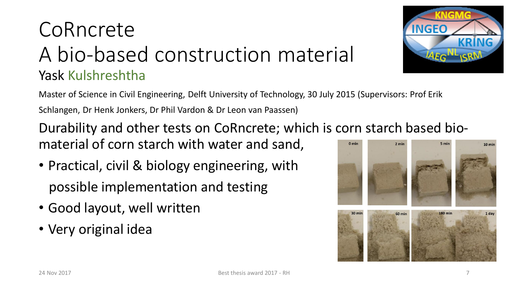### CoRncrete A bio-based construction material Yask Kulshreshtha



Master of Science in Civil Engineering, Delft University of Technology, 30 July 2015 (Supervisors: Prof Erik Schlangen, Dr Henk Jonkers, Dr Phil Vardon & Dr Leon van Paassen)

Durability and other tests on CoRncrete; which is corn starch based biomaterial of corn starch with water and sand,  $0 \text{ min}$ 5 min

- Practical, civil & biology engineering, with possible implementation and testing
- Good layout, well written
- Very original idea

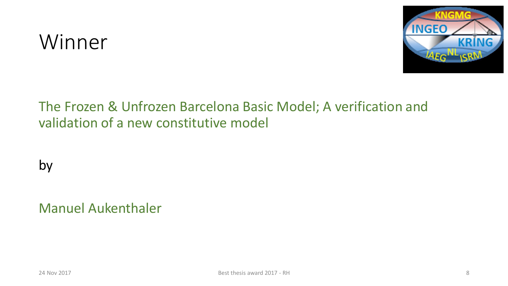### Winner



#### The Frozen & Unfrozen Barcelona Basic Model; A verification and validation of a new constitutive model

by

Manuel Aukenthaler